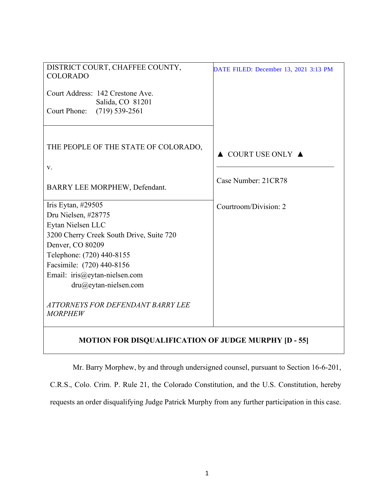| DISTRICT COURT, CHAFFEE COUNTY,<br><b>COLORADO</b>          | DATE FILED: December 13, 2021 3:13 PM  |
|-------------------------------------------------------------|----------------------------------------|
| Court Address: 142 Crestone Ave.                            |                                        |
| Salida, CO 81201<br>$(719)$ 539-2561<br>Court Phone:        |                                        |
|                                                             |                                        |
| THE PEOPLE OF THE STATE OF COLORADO,                        | $\triangle$ COURT USE ONLY $\triangle$ |
| v.                                                          |                                        |
| BARRY LEE MORPHEW, Defendant.                               | Case Number: 21CR78                    |
| Iris Eytan, #29505                                          | Courtroom/Division: 2                  |
| Dru Nielsen, #28775                                         |                                        |
| Eytan Nielsen LLC                                           |                                        |
| 3200 Cherry Creek South Drive, Suite 720                    |                                        |
| Denver, CO 80209                                            |                                        |
| Telephone: (720) 440-8155                                   |                                        |
| Facsimile: (720) 440-8156                                   |                                        |
| Email: iris@eytan-nielsen.com                               |                                        |
| dru@eytan-nielsen.com                                       |                                        |
| ATTORNEYS FOR DEFENDANT BARRY LEE<br><b>MORPHEW</b>         |                                        |
| <b>MOTION FOR DISQUALIFICATION OF JUDGE MURPHY [D - 55]</b> |                                        |

Mr. Barry Morphew, by and through undersigned counsel, pursuant to Section 16-6-201,

C.R.S., Colo. Crim. P. Rule 21, the Colorado Constitution, and the U.S. Constitution, hereby requests an order disqualifying Judge Patrick Murphy from any further participation in this case.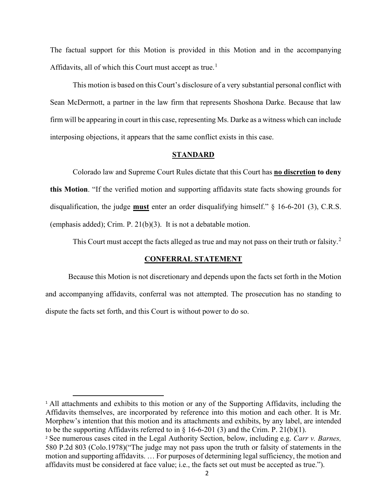The factual support for this Motion is provided in this Motion and in the accompanying Affidavits, all of which this Court must accept as true.<sup>1</sup>

This motion is based on this Court's disclosure of a very substantial personal conflict with Sean McDermott, a partner in the law firm that represents Shoshona Darke. Because that law firm will be appearing in court in this case, representing Ms. Darke as a witness which can include interposing objections, it appears that the same conflict exists in this case.

### **STANDARD**

Colorado law and Supreme Court Rules dictate that this Court has **no discretion to deny this Motion**. "If the verified motion and supporting affidavits state facts showing grounds for disqualification, the judge **must** enter an order disqualifying himself." § 16-6-201 (3), C.R.S. (emphasis added); Crim. P. 21(b)(3). It is not a debatable motion.

This Court must accept the facts alleged as true and may not pass on their truth or falsity.<sup>2</sup>

#### **CONFERRAL STATEMENT**

Because this Motion is not discretionary and depends upon the facts set forth in the Motion and accompanying affidavits, conferral was not attempted. The prosecution has no standing to dispute the facts set forth, and this Court is without power to do so.

<sup>1</sup> All attachments and exhibits to this motion or any of the Supporting Affidavits, including the Affidavits themselves, are incorporated by reference into this motion and each other. It is Mr. Morphew's intention that this motion and its attachments and exhibits, by any label, are intended to be the supporting Affidavits referred to in § 16-6-201 (3) and the Crim. P. 21(b)(1).

<sup>2</sup> See numerous cases cited in the Legal Authority Section, below, including e.g. *Carr v. Barnes,*  580 P.2d 803 (Colo.1978)("The judge may not pass upon the truth or falsity of statements in the motion and supporting affidavits. … For purposes of determining legal sufficiency, the motion and affidavits must be considered at face value; i.e., the facts set out must be accepted as true.").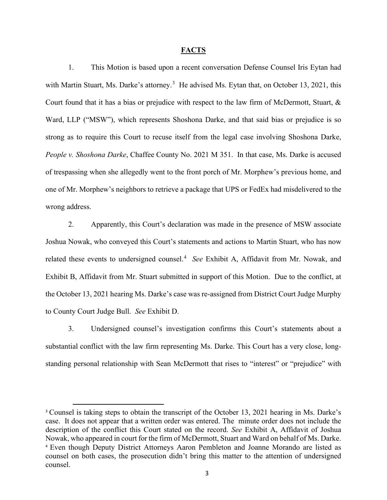#### **FACTS**

1. This Motion is based upon a recent conversation Defense Counsel Iris Eytan had with Martin Stuart, Ms. Darke's attorney.<sup>3</sup> He advised Ms. Eytan that, on October 13, 2021, this Court found that it has a bias or prejudice with respect to the law firm of McDermott, Stuart, & Ward, LLP ("MSW"), which represents Shoshona Darke, and that said bias or prejudice is so strong as to require this Court to recuse itself from the legal case involving Shoshona Darke, *People v. Shoshona Darke*, Chaffee County No. 2021 M 351. In that case, Ms. Darke is accused of trespassing when she allegedly went to the front porch of Mr. Morphew's previous home, and one of Mr. Morphew's neighbors to retrieve a package that UPS or FedEx had misdelivered to the wrong address.

2. Apparently, this Court's declaration was made in the presence of MSW associate Joshua Nowak, who conveyed this Court's statements and actions to Martin Stuart, who has now related these events to undersigned counsel.<sup>4</sup> See Exhibit A, Affidavit from Mr. Nowak, and Exhibit B, Affidavit from Mr. Stuart submitted in support of this Motion. Due to the conflict, at the October 13, 2021 hearing Ms. Darke's case was re-assigned from District Court Judge Murphy to County Court Judge Bull. *See* Exhibit D.

3. Undersigned counsel's investigation confirms this Court's statements about a substantial conflict with the law firm representing Ms. Darke. This Court has a very close, longstanding personal relationship with Sean McDermott that rises to "interest" or "prejudice" with

<sup>&</sup>lt;sup>3</sup> Counsel is taking steps to obtain the transcript of the October 13, 2021 hearing in Ms. Darke's case. It does not appear that a written order was entered. The minute order does not include the description of the conflict this Court stated on the record. *See* Exhibit A, Affidavit of Joshua Nowak, who appeared in court for the firm of McDermott, Stuart and Ward on behalf of Ms. Darke. <sup>4</sup> Even though Deputy District Attorneys Aaron Pembleton and Joanne Morando are listed as counsel on both cases, the prosecution didn't bring this matter to the attention of undersigned counsel.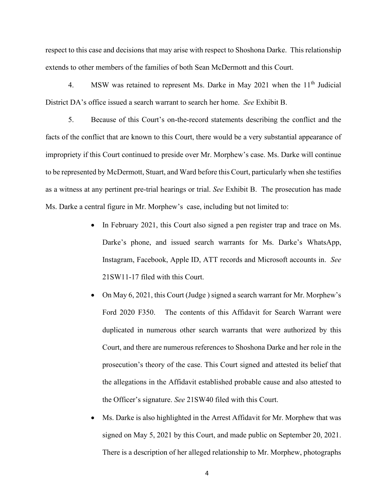respect to this case and decisions that may arise with respect to Shoshona Darke. This relationship extends to other members of the families of both Sean McDermott and this Court.

4. MSW was retained to represent Ms. Darke in May 2021 when the 11<sup>th</sup> Judicial District DA's office issued a search warrant to search her home. *See* Exhibit B.

5. Because of this Court's on-the-record statements describing the conflict and the facts of the conflict that are known to this Court, there would be a very substantial appearance of impropriety if this Court continued to preside over Mr. Morphew's case. Ms. Darke will continue to be represented by McDermott, Stuart, and Ward before this Court, particularly when she testifies as a witness at any pertinent pre-trial hearings or trial. *See* Exhibit B. The prosecution has made Ms. Darke a central figure in Mr. Morphew's case, including but not limited to:

- In February 2021, this Court also signed a pen register trap and trace on Ms. Darke's phone, and issued search warrants for Ms. Darke's WhatsApp, Instagram, Facebook, Apple ID, ATT records and Microsoft accounts in. *See* 21SW11-17 filed with this Court.
- On May 6, 2021, this Court (Judge ) signed a search warrant for Mr. Morphew's Ford 2020 F350. The contents of this Affidavit for Search Warrant were duplicated in numerous other search warrants that were authorized by this Court, and there are numerous references to Shoshona Darke and her role in the prosecution's theory of the case. This Court signed and attested its belief that the allegations in the Affidavit established probable cause and also attested to the Officer's signature. *See* 21SW40 filed with this Court.
- Ms. Darke is also highlighted in the Arrest Affidavit for Mr. Morphew that was signed on May 5, 2021 by this Court, and made public on September 20, 2021. There is a description of her alleged relationship to Mr. Morphew, photographs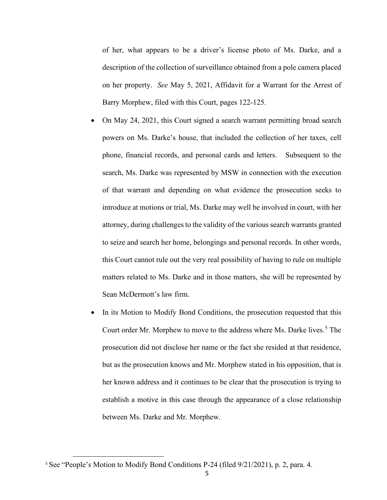of her, what appears to be a driver's license photo of Ms. Darke, and a description of the collection of surveillance obtained from a pole camera placed on her property. *See* May 5, 2021, Affidavit for a Warrant for the Arrest of Barry Morphew, filed with this Court, pages 122-125.

- On May 24, 2021, this Court signed a search warrant permitting broad search powers on Ms. Darke's house, that included the collection of her taxes, cell phone, financial records, and personal cards and letters. Subsequent to the search, Ms. Darke was represented by MSW in connection with the execution of that warrant and depending on what evidence the prosecution seeks to introduce at motions or trial, Ms. Darke may well be involved in court, with her attorney, during challengesto the validity of the various search warrants granted to seize and search her home, belongings and personal records. In other words, this Court cannot rule out the very real possibility of having to rule on multiple matters related to Ms. Darke and in those matters, she will be represented by Sean McDermott's law firm.
- In its Motion to Modify Bond Conditions, the prosecution requested that this Court order Mr. Morphew to move to the address where Ms. Darke lives. <sup>5</sup> The prosecution did not disclose her name or the fact she resided at that residence, but as the prosecution knows and Mr. Morphew stated in his opposition, that is her known address and it continues to be clear that the prosecution is trying to establish a motive in this case through the appearance of a close relationship between Ms. Darke and Mr. Morphew.

<sup>5</sup> See "People's Motion to Modify Bond Conditions P-24 (filed 9/21/2021), p. 2, para. 4.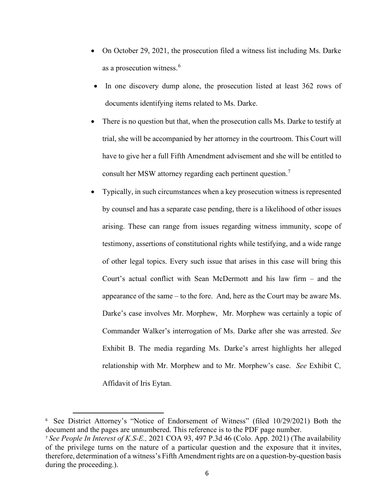- On October 29, 2021, the prosecution filed a witness list including Ms. Darke as a prosecution witness.<sup>6</sup>
- In one discovery dump alone, the prosecution listed at least 362 rows of documents identifying items related to Ms. Darke.
- There is no question but that, when the prosecution calls Ms. Darke to testify at trial, she will be accompanied by her attorney in the courtroom. This Court will have to give her a full Fifth Amendment advisement and she will be entitled to consult her MSW attorney regarding each pertinent question. 7
- Typically, in such circumstances when a key prosecution witness is represented by counsel and has a separate case pending, there is a likelihood of other issues arising. These can range from issues regarding witness immunity, scope of testimony, assertions of constitutional rights while testifying, and a wide range of other legal topics. Every such issue that arises in this case will bring this Court's actual conflict with Sean McDermott and his law firm – and the appearance of the same – to the fore. And, here as the Court may be aware Ms. Darke's case involves Mr. Morphew, Mr. Morphew was certainly a topic of Commander Walker's interrogation of Ms. Darke after she was arrested. *See* Exhibit B. The media regarding Ms. Darke's arrest highlights her alleged relationship with Mr. Morphew and to Mr. Morphew's case. *See* Exhibit C*,*  Affidavit of Iris Eytan.

<sup>6</sup> See District Attorney's "Notice of Endorsement of Witness" (filed 10/29/2021) Both the document and the pages are unnumbered. This reference is to the PDF page number.

<sup>7</sup> *See People In Interest of K.S-E.,* 2021 COA 93, 497 P.3d 46 (Colo. App. 2021) (The availability of the privilege turns on the nature of a particular question and the exposure that it invites, therefore, determination of a witness's Fifth Amendment rights are on a question-by-question basis during the proceeding.).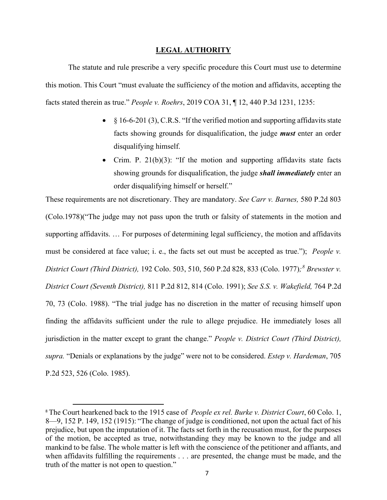## **LEGAL AUTHORITY**

The statute and rule prescribe a very specific procedure this Court must use to determine this motion. This Court "must evaluate the sufficiency of the motion and affidavits, accepting the facts stated therein as true." *People v. Roehrs*, 2019 COA 31, ¶ 12, 440 P.3d 1231, 1235:

- $§$  16-6-201 (3), C.R.S. "If the verified motion and supporting affidavits state facts showing grounds for disqualification, the judge *must* enter an order disqualifying himself.
- Crim. P.  $21(b)(3)$ : "If the motion and supporting affidavits state facts showing grounds for disqualification, the judge *shall immediately* enter an order disqualifying himself or herself."

These requirements are not discretionary. They are mandatory. *See Carr v. Barnes,* 580 P.2d 803 (Colo.1978)("The judge may not pass upon the truth or falsity of statements in the motion and supporting affidavits. … For purposes of determining legal sufficiency, the motion and affidavits must be considered at face value; i. e., the facts set out must be accepted as true."); *People v. District Court (Third District),* 192 Colo. 503, 510, 560 P.2d 828, 833 (Colo. 1977)*;<sup>8</sup> Brewster v. District Court (Seventh District),* 811 P.2d 812, 814 (Colo. 1991); *See S.S. v. Wakefield,* 764 P.2d 70, 73 (Colo. 1988). "The trial judge has no discretion in the matter of recusing himself upon finding the affidavits sufficient under the rule to allege prejudice. He immediately loses all jurisdiction in the matter except to grant the change." *People v. District Court (Third District), supra.* "Denials or explanations by the judge" were not to be considered. *Estep v. Hardeman*, 705 P.2d 523, 526 (Colo. 1985).

<sup>8</sup> The Court hearkened back to the 1915 case of *People ex rel. Burke v. District Court*, 60 Colo. 1, 8—9, 152 P. 149, 152 (1915): "The change of judge is conditioned, not upon the actual fact of his prejudice, but upon the imputation of it. The facts set forth in the recusation must, for the purposes of the motion, be accepted as true, notwithstanding they may be known to the judge and all mankind to be false. The whole matter is left with the conscience of the petitioner and affiants, and when affidavits fulfilling the requirements . . . are presented, the change must be made, and the truth of the matter is not open to question."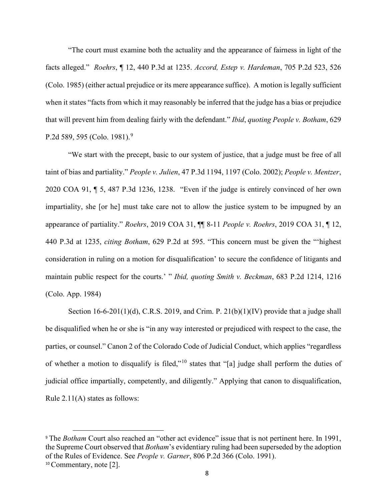"The court must examine both the actuality and the appearance of fairness in light of the facts alleged." *Roehrs*, ¶ 12, 440 P.3d at 1235. *Accord, Estep v. Hardeman*, 705 P.2d 523, 526 (Colo. 1985) (either actual prejudice or its mere appearance suffice). A motion is legally sufficient when it states "facts from which it may reasonably be inferred that the judge has a bias or prejudice that will prevent him from dealing fairly with the defendant." *Ibid*, *quoting People v. Botham*, 629 P.2d 589, 595 (Colo. 1981).<sup>9</sup>

"We start with the precept, basic to our system of justice, that a judge must be free of all taint of bias and partiality." *People v. Julien*, 47 P.3d 1194, 1197 (Colo. 2002); *People v. Mentzer*, 2020 COA 91, ¶ 5, 487 P.3d 1236, 1238. "Even if the judge is entirely convinced of her own impartiality, she [or he] must take care not to allow the justice system to be impugned by an appearance of partiality." *Roehrs*, 2019 COA 31, ¶¶ 8-11 *People v. Roehrs*, 2019 COA 31, ¶ 12, 440 P.3d at 1235, *citing Botham*, 629 P.2d at 595. "This concern must be given the "'highest consideration in ruling on a motion for disqualification' to secure the confidence of litigants and maintain public respect for the courts.' " *Ibid, quoting Smith v. Beckman*, 683 P.2d 1214, 1216 (Colo. App. 1984)

Section  $16-6-201(1)(d)$ , C.R.S. 2019, and Crim. P. 21(b)(1)(IV) provide that a judge shall be disqualified when he or she is "in any way interested or prejudiced with respect to the case, the parties, or counsel." Canon 2 of the Colorado Code of Judicial Conduct, which applies "regardless of whether a motion to disqualify is filed,"<sup>10</sup> states that "[a] judge shall perform the duties of judicial office impartially, competently, and diligently." Applying that canon to disqualification, Rule 2.11(A) states as follows:

<sup>&</sup>lt;sup>9</sup> The *Botham* Court also reached an "other act evidence" issue that is not pertinent here. In 1991, the Supreme Court observed that *Botham*'s evidentiary ruling had been superseded by the adoption of the Rules of Evidence. See *People v. Garner*, 806 P.2d 366 (Colo. 1991). <sup>10</sup> Commentary, note [2].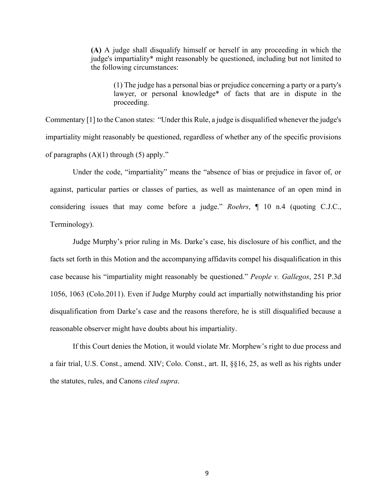**(A)** A judge shall disqualify himself or herself in any proceeding in which the judge's impartiality\* might reasonably be questioned, including but not limited to the following circumstances:

(1) The judge has a personal bias or prejudice concerning a party or a party's lawyer, or personal knowledge\* of facts that are in dispute in the proceeding.

Commentary [1] to the Canon states: "Under this Rule, a judge is disqualified whenever the judge's impartiality might reasonably be questioned, regardless of whether any of the specific provisions of paragraphs  $(A)(1)$  through  $(5)$  apply."

Under the code, "impartiality" means the "absence of bias or prejudice in favor of, or against, particular parties or classes of parties, as well as maintenance of an open mind in considering issues that may come before a judge." *Roehrs*, ¶ 10 n.4 (quoting C.J.C., Terminology).

Judge Murphy's prior ruling in Ms. Darke's case, his disclosure of his conflict, and the facts set forth in this Motion and the accompanying affidavits compel his disqualification in this case because his "impartiality might reasonably be questioned." *People v. Gallegos*, 251 P.3d 1056, 1063 (Colo.2011). Even if Judge Murphy could act impartially notwithstanding his prior disqualification from Darke's case and the reasons therefore, he is still disqualified because a reasonable observer might have doubts about his impartiality.

If this Court denies the Motion, it would violate Mr. Morphew's right to due process and a fair trial, U.S. Const., amend. XIV; Colo. Const., art. II, §§16, 25, as well as his rights under the statutes, rules, and Canons *cited supra*.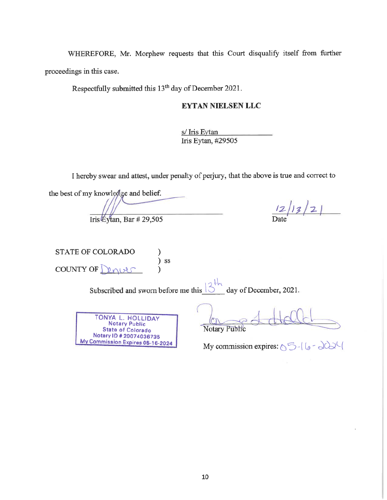WHEREFORE, Mr. Morphew requests that this Court disqualify itself from further proceedings in this case.

Respectfully submitted this 13<sup>th</sup> day of December 2021.

# **EYTAN NIELSEN LLC**

s/ Iris Eytan Iris Eytan, #29505

I hereby swear and attest, under penalty of perjury, that the above is true and correct to

the best of my knowledge and belief. Iris Éytan, Bar #29,505

 $12/13/2$ 

STATE OF COLORADO ) ss COUNTY OF  $\Gamma$  $2901285$  $\lambda$ 

Subscribed and sworn before me this  $\frac{3}{10}$  day of December, 2021.

**TONYA L. HOLLIDAY**<br>Notary Public<br>State of Colorado Notary ID # 20074036735 My Commission Expires 05-16-2024

**Notary Public** 

My commission expires:  $\mathcal{F}$  -  $\mathcal{G}$  -  $\mathcal{G}$